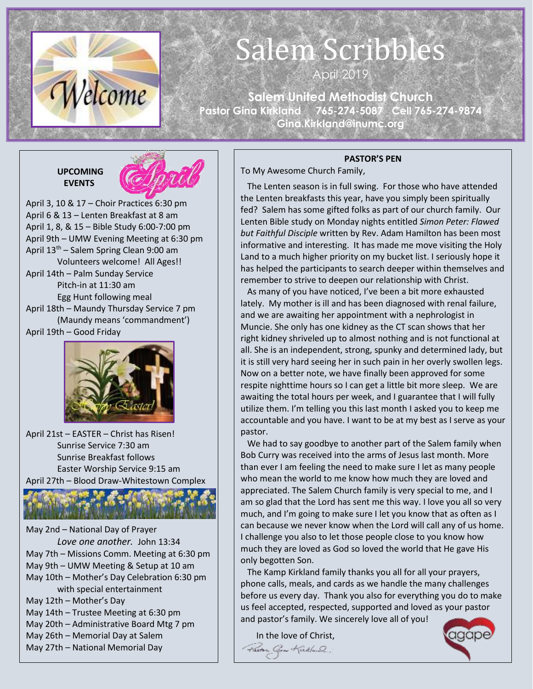

# Salem Scribbles

April 2019

**Salem United Methodist Church Pastor Gina Kirkland 765-274-5087 Cell 765-274-9874 Gina.Kirkland@inumc.org**

#### **PASTOR'S PEN**

#### To My Awesome Church Family,

 The Lenten season is in full swing. For those who have attended the Lenten breakfasts this year, have you simply been spiritually fed? Salem has some gifted folks as part of our church family. Our Lenten Bible study on Monday nights entitled *Simon Peter: Flawed but Faithful Disciple* written by Rev. Adam Hamilton has been most informative and interesting. It has made me move visiting the Holy Land to a much higher priority on my bucket list. I seriously hope it has helped the participants to search deeper within themselves and remember to strive to deepen our relationship with Christ.

 As many of you have noticed, I've been a bit more exhausted lately. My mother is ill and has been diagnosed with renal failure, and we are awaiting her appointment with a nephrologist in Muncie. She only has one kidney as the CT scan shows that her right kidney shriveled up to almost nothing and is not functional at all. She is an independent, strong, spunky and determined lady, but it is still very hard seeing her in such pain in her overly swollen legs. Now on a better note, we have finally been approved for some respite nighttime hours so I can get a little bit more sleep. We are awaiting the total hours per week, and I guarantee that I will fully utilize them. I'm telling you this last month I asked you to keep me accountable and you have. I want to be at my best as I serve as your pastor.

 We had to say goodbye to another part of the Salem family when Bob Curry was received into the arms of Jesus last month. More than ever I am feeling the need to make sure I let as many people who mean the world to me know how much they are loved and appreciated. The Salem Church family is very special to me, and I am so glad that the Lord has sent me this way. I love you all so very much, and I'm going to make sure I let you know that as often as I can because we never know when the Lord will call any of us home. I challenge you also to let those people close to you know how much they are loved as God so loved the world that He gave His only begotten Son.

 The Kamp Kirkland family thanks you all for all your prayers, phone calls, meals, and cards as we handle the many challenges before us every day. Thank you also for everything you do to make us feel accepted, respected, supported and loved as your pastor and pastor's family. We sincerely love all of you!

[In the love of Christ,](https://www.faithclipart.com/fca/affiliate.do?id=58&coupon=christmas) Faston Goa Kirkland ...



#### **UPCOMING EVENTS**



April 3, 10 & 17 – Choir Practices 6:30 pm April 6 & 13 – Lenten Breakfast at 8 am April 1, 8, & 15 – Bible Study 6:00-7:00 pm April 9th – UMW Evening Meeting at 6:30 pm April 13th – Salem Spring Clean 9:00 am Volunteers welcome! All Ages!! April 14th – Palm Sunday Service Pitch-in at 11:30 am Egg Hunt following meal April 18th – Maundy Thursday Service 7 pm (Maundy means 'commandment') April 19th – Good Friday



April 21st – EASTER – Christ has Risen! Sunrise Service 7:30 am Sunrise Breakfast follows Easter Worship Service 9:15 am April 27th – Blood Draw-Whitestown Complex

May 2nd – National Day of Prayer *Love one another.* John 13:34 May 7th – Missions Comm. Meeting at 6:30 pm May 9th – UMW Meeting & Setup at 10 am May 10th – Mother's Day Celebration 6:30 pm with special entertainment May 12th – Mother's Day May 14th – Trustee Meeting at 6:30 pm May 20th – Administrative Board Mtg 7 pm May 26th – Memorial Day at Salem May 27th – National Memorial Day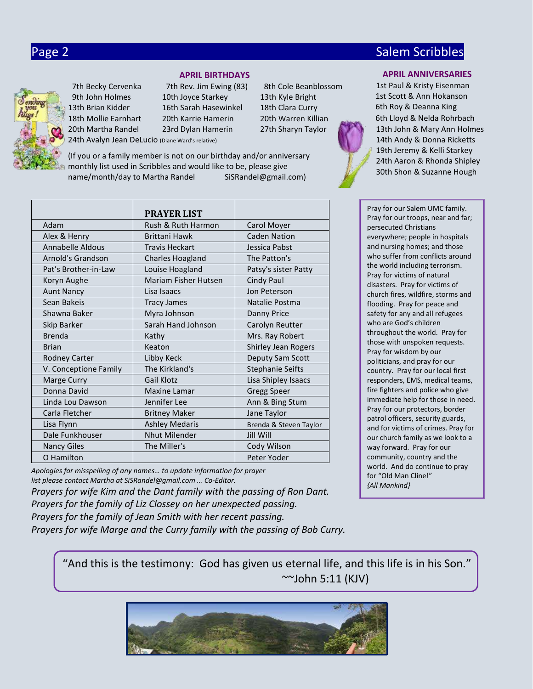#### **APRIL BIRTHDAYS**

**6** 13th Brian Kidder 16th Sarah Hasewinkel 18th Clara Curry 6th Roy & Deanna King 7th Becky Cervenka 7th Rev. Jim Ewing (83) 8th Cole Beanblossom 10th Joyce Starkey 20th Martha Randel 23rd Dylan Hamerin 27th Sharyn Taylor

20th Warren Killian

(If you or a family member is not on our birthday and/or anniversary monthly list used in Scribbles and would like to be, please give name/month/day to Martha Randel SiSRandel@gmail.com)

|                         | <b>PRAYER LIST</b>          |                         |
|-------------------------|-----------------------------|-------------------------|
| Adam                    | Rush & Ruth Harmon          | Carol Moyer             |
| Alex & Henry            | <b>Brittani Hawk</b>        | <b>Caden Nation</b>     |
| <b>Annabelle Aldous</b> | <b>Travis Heckart</b>       | Jessica Pabst           |
| Arnold's Grandson       | <b>Charles Hoagland</b>     | The Patton's            |
| Pat's Brother-in-Law    | Louise Hoagland             | Patsy's sister Patty    |
| Koryn Aughe             | <b>Mariam Fisher Hutsen</b> | <b>Cindy Paul</b>       |
| <b>Aunt Nancy</b>       | Lisa Isaacs                 | Jon Peterson            |
| Sean Bakeis             | <b>Tracy James</b>          | Natalie Postma          |
| Shawna Baker            | Myra Johnson                | Danny Price             |
| Skip Barker             | Sarah Hand Johnson          | Carolyn Reutter         |
| <b>Brenda</b>           | Kathy                       | Mrs. Ray Robert         |
| <b>Brian</b>            | Keaton                      | Shirley Jean Rogers     |
| Rodney Carter           | Libby Keck                  | Deputy Sam Scott        |
| V. Conceptione Family   | The Kirkland's              | <b>Stephanie Seifts</b> |
| Marge Curry             | Gail Klotz                  | Lisa Shipley Isaacs     |
| Donna David             | <b>Maxine Lamar</b>         | <b>Gregg Speer</b>      |
| Linda Lou Dawson        | Jennifer Lee                | Ann & Bing Stum         |
| Carla Fletcher          | <b>Britney Maker</b>        | Jane Taylor             |
| Lisa Flynn              | <b>Ashley Medaris</b>       | Brenda & Steven Taylor  |
| Dale Funkhouser         | <b>Nhut Milender</b>        | <b>Jill Will</b>        |
| <b>Nancy Giles</b>      | The Miller's                | Cody Wilson             |
| O Hamilton              |                             | Peter Yoder             |

*Apologies for misspelling of any names… to update information for prayer list please contact Martha at SiSRandel@gmail.com … Co-Editor.*

*Prayers for wife Kim and the Dant family with the passing of Ron Dant. Prayers for the family of Liz Clossey on her unexpected passing. Prayers for the family of Jean Smith with her recent passing.*

*Prayers for wife Marge and the Curry family with the passing of Bob Curry.*

"And this is the testimony: God has given us eternal life, and this life is in his Son."  $\sim$ John 5:11 (KJV)



### Page 2 Salem Scribbles and Contract Contract Contract Contract Contract Contract Contract Contract Contract Co

**APRIL ANNIVERSARIES**

1st Paul & Kristy Eisenman 9th John Holmes 10th Joyce Starkey 13th Kyle Bright 1st Scott & Ann Hokanson 18th Mollie Earnhart 20th Karrie Hamerin 20th Warren Killian [6t](https://www.faithclipart.com/fca/affiliate.do?id=58&coupon=christmas)h Lloyd & Nelda Rohrbach 13th John & Mary Ann Holmes 24th Avalyn Jean DeLucio (Diane Ward's relative) **24th Andy & Donna Ricketts** (Diane Ward's relative) **24th Andy & Donna Ricketts** 19th Jeremy & Kelli Starkey 24th Aaron & Rhonda Shipley 30th Shon & Suzanne Hough

> Pray for our Salem UMC family. Pray for our troops, near and far; persecuted Christians everywhere; people in hospitals and nursing homes; and those who suffer from conflicts around the world including terrorism. Pray for victims of natural disasters. Pray for victims of church fires, wildfire, storms and flooding. Pray for peace and safety for any and all refugees who are God's children throughout the world. Pray for those with unspoken requests. Pray for wisdom by our politicians, and pray for our country. Pray for our local first responders, EMS, medical teams, fire fighters and police who give immediate help for those in need. Pray for our protectors, border patrol officers, security guards, and for victims of crimes. Pray for our church family as we look to a way forward. Pray for our community, country and the world. And do continue to pray for "Old Man Cline!" *{All Mankind}*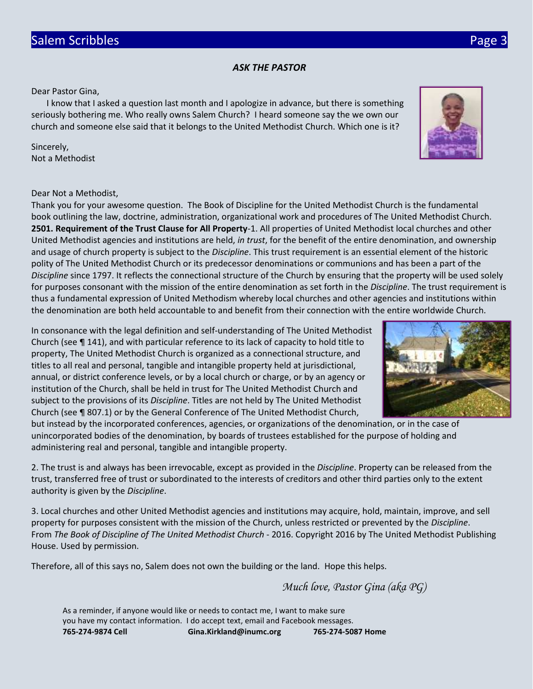#### *ASK THE PASTOR*

Dear Pastor Gina,

 I know that I asked a question last month and I apologize in advance, but there is something seriously bothering me. Who really owns Salem Church? I heard someone say the we own our church and someone else said that it belongs to the United Methodist Church. Which one is it?

Sincerely, Not a Methodist

#### Dear Not a Methodist,

Thank you for your awesome question. The Book of Discipline for the United Methodist Church is the fundamental book outlining the law, doctrine, administration, organizational work and procedures of The United Methodist Church. **2501. Requirement of the Trust Clause for All Property**-1. All properties of United Methodist local churches and other United Methodist agencies and institutions are held, *in trust*, for the benefit of the entire denomination, and ownership and usage of church property is subject to the *Discipline*. This trust requirement is an essential element of the historic polity of The United Methodist Church or its predecessor denominations or communions and has been a part of the *Discipline* since 1797. It reflects the connectional structure of the Church by ensuring that the property will be used solely for purposes consonant with the mission of the entire denomination as set forth in the *Discipline*. The trust requirement is thus a fundamental expression of United Methodism whereby local churches and other agencies and institutions within the denomination are both held accountable to and benefit from their connection with the entire worldwide Church.

In consonance with the legal definition and self-understanding of The United Methodist Church (see ¶ 141), and with particular reference to its lack of capacity to hold title to property, The United Methodist Church is organized as a connectional structure, and titles to all real and personal, tangible and intangible property held at jurisdictional, annual, or district conference levels, or by a local church or charge, or by an agency or institution of the Church, shall be held in trust for The United Methodist Church and subject to the provisions of its *Discipline*. Titles are not held by The United Methodist Church (see ¶ 807.1) or by the General Conference of The United Methodist Church,

but instead by the incorporated conferences, agencies, or organizations of the denomination, or in the case of unincorporated bodies of the denomination, by boards of trustees established for the purpose of holding and administering real and personal, tangible and intangible property.

2. The trust is and always has been irrevocable, except as provided in the *Discipline*. Property can be released from the trust, transferred free of trust or subordinated to the interests of creditors and other third parties only to the extent authority is given by the *Discipline*.

3. Local churches and other United Methodist agencies and institutions may acquire, hold, maintain, improve, and sell property for purposes consistent with the mission of the Church, unless restricted or prevented by the *Discipline*. From *The Book of Discipline of The United Methodist Church* - 2016. Copyright 2016 by The United Methodist Publishing House. Used by permission.

Therefore, all of this says no, Salem does not own the building or the land. Hope this helps.

*Much love, Pastor Gina (aka PG)*

As a reminder, if anyone would like or needs to contact me, I want to make sure you have my contact information. I do accept text, email and Facebook messages. **765-274-9874 Cell Gina.Kirkland@inumc.org 765-274-5087 Home**



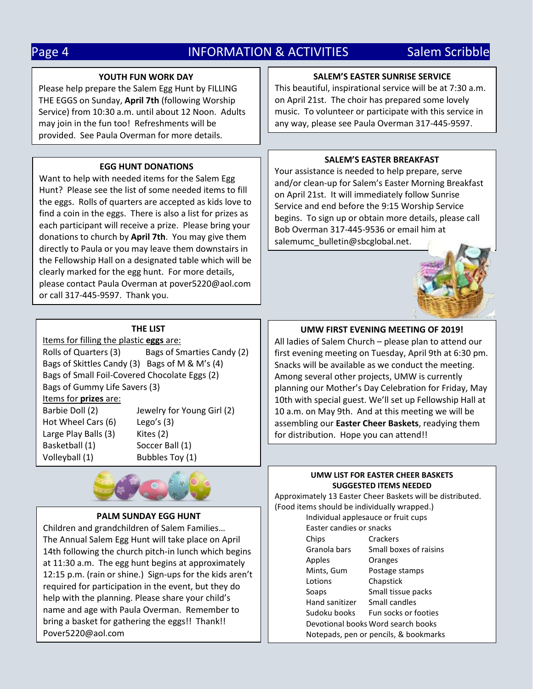### Page 4 **INFORMATION & ACTIVITIES** Salem Scribble

#### **YOUTH FUN WORK DAY**

Please help prepare the Salem Egg Hunt by FILLING THE EGGS on Sunday, **April 7th** (following Worship Service) from 10:30 a.m. until about 12 Noon. Adults may join in the fun too! Refreshments will be provided. See Paula Overman for more details.

#### **EGG HUNT DONATIONS**

Want to help with needed items for the Salem Egg Hunt? Please see the list of some needed items to fill the eggs. Rolls of quarters are accepted as kids love to find a coin in the eggs. There is also a list for prizes as each participant will receive a prize. Please bring your donations to church by **April 7th**. You may give them directly to Paula or you may leave them downstairs in the Fellowship Hall on a designated table which will be clearly marked for the egg hunt. For more details, please contact Paula Overman at pover5220@aol.com or call 317-445-9597. Thank you.

#### **SALEM'S EASTER SUNRISE SERVICE**

This beautiful, inspirational service will be at 7:30 a.m. on April 21st. The choir has prepared some lovely music. To volunteer or participate with this service in any way, please see Paula Overman 317-445-9597.

#### **SALEM'S EASTER BREAKFAST**

Your assistance is needed to help prepare, serve and/or clean-up for Salem's Easter Morning Breakfast on April 21st. It will immediately follow Sunrise Service and end before the 9:15 Worship Service begins. To sign up or obtain more details, please call Bob Overman 317-445-9536 or email him at salemumc\_bulletin@sbcglobal.net.



#### **THE LIST**

Items for filling the plastic **eggs** are: Rolls of Quarters (3) Bags of Smarties Candy (2) Bags of Skittles Candy (3) Bags of M & M's (4) Bags of Small Foil-Covered Chocolate Eggs (2) Bags of Gummy Life Savers (3) Items for **prizes** are: Barbie Doll (2) Jewelry for Young Girl (2) Hot Wheel Cars (6) Lego's (3) Large Play Balls (3) Kites (2)

Basketball (1) Soccer Ball (1) Volleyball (1) Bubbles Toy (1)



#### **PALM SUNDAY EGG HUNT**

Children and grandchildren of Salem Families… The Annual Salem Egg Hunt will take place on April 14th following the church pitch-in lunch which begins at 11:30 a.m. The egg hunt begins at approximately 12:15 p.m. (rain or shine.) Sign-ups for the kids aren't required for participation in the event, but they do help with the planning. Please share your child's name and age with Paula Overman. Remember to bring a basket for gathering the eggs!! Thank!! Pover5220@aol.com

#### **UMW FIRST EVENING MEETING OF 2019!**

All ladies of Salem Church – please plan to attend our first evening meeting on Tuesday, April 9th at 6:30 pm. Snacks will be available as we conduct the meeting. Among several other projects, UMW is currently planning our Mother's Day Celebration for Friday, May 10th with special guest. We'll set up Fellowship Hall at 10 a.m. on May 9th. And at this meeting we will be assembling our **Easter Cheer Baskets**, readying them for distribution. Hope you can attend!!

#### **UMW LIST FOR EASTER CHEER BASKETS SUGGESTED ITEMS NEEDED**

Approximately 13 Easter Cheer Baskets will be distributed. (Food items should be individually wrapped.)

Individual applesauce or fruit cups Easter candies or snacks Chips Crackers Granola bars Small boxes of raisins Apples Oranges Mints, Gum Postage stamps Lotions Chapstick Soaps Small tissue packs Hand sanitizer Small candles Sudoku books Fun socks or footies Devotional books Word search books Notepads, pen or pencils, & bookmarks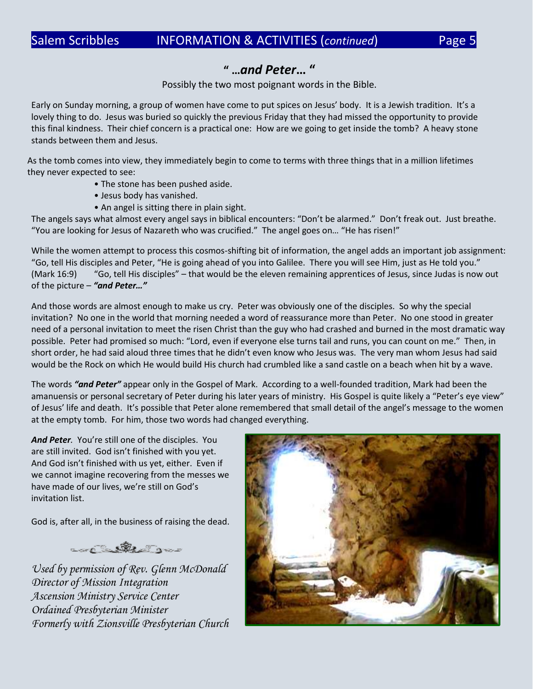### **" …***and Peter***… "**

Possibly the two most poignant words in the Bible.

Early on Sunday morning, a group of women have come to put spices on Jesus' body. It is a Jewish tradition. It's a lovely thing to do. Jesus was buried so quickly the previous Friday that they had missed the opportunity to provide this final kindness. Their chief concern is a practical one: How are we going to get inside the tomb? A heavy stone stands between them and Jesus.

As the tomb comes into view, they immediately begin to come to terms with three things that in a million lifetimes they never expected to see:

- The stone has been pushed aside.
- Jesus body has vanished.
- An angel is sitting there in plain sight.

The angels says what almost every angel says in biblical encounters: "Don't be alarmed." Don't freak out. Just breathe. "You are looking for Jesus of Nazareth who was crucified." The angel goes on… "He has risen!"

While the women attempt to process this cosmos-shifting bit of information, the angel adds an important job assignment: "Go, tell His disciples and Peter, "He is going ahead of you into Galilee. There you will see Him, just as He told you." (Mark 16:9) "Go, tell His disciples" – that would be the eleven remaining apprentices of Jesus, since Judas is now out of the picture – *"and Peter…"*

And those words are almost enough to make us cry. Peter was obviously one of the disciples. So why the special invitation? No one in the world that morning needed a word of reassurance more than Peter. No one stood in greater need of a personal invitation to meet the risen Christ than the guy who had crashed and burned in the most dramatic way possible. Peter had promised so much: "Lord, even if everyone else turns tail and runs, you can count on me." Then, in short order, he had said aloud three times that he didn't even know who Jesus was. The very man whom Jesus had said would be the Rock on which He would build His church had crumbled like a sand castle on a beach when hit by a wave.

The words *"and Peter"* appear only in the Gospel of Mark. According to a well-founded tradition, Mark had been the amanuensis or personal secretary of Peter during his later years of ministry. His Gospel is quite likely a "Peter's eye view" of Jesus' life and death. It's possible that Peter alone remembered that small detail of the angel's message to the women at the empty tomb. For him, those two words had changed everything.

*And Peter.* You're still one of the disciples. You are still invited. God isn't finished with you yet. And God isn't finished with us yet, either. Even if we cannot imagine recovering from the messes we have made of our lives, we're still on God's invitation list.

God is, after all, in the business of raising the dead.

and the form

*Used by permission of Rev. Glenn McDonald Director of Mission Integration Ascension Ministry Service Center Ordained Presbyterian Minister Formerly with Zionsville Presbyterian Church*

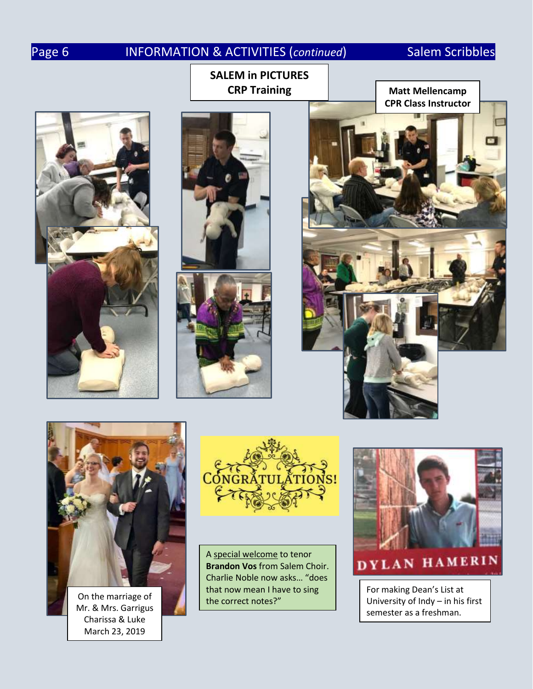## Page 6 **INFORMATION & ACTIVITIES (continued)** Salem Scribbles

**SALEM in PICTURES CRP Training**

**Matt Mellencamp**











On the marriage of Mr. & Mrs. Garrigus Charissa & Luke March 23, 2019



A special welcome to tenor **Brandon Vos** from Salem Choir. Charlie Noble now asks… "does that now mean I have to sing the correct notes?"



# DYLAN HAMERIN

For making Dean's List at University of Indy – in his first semester as a freshman.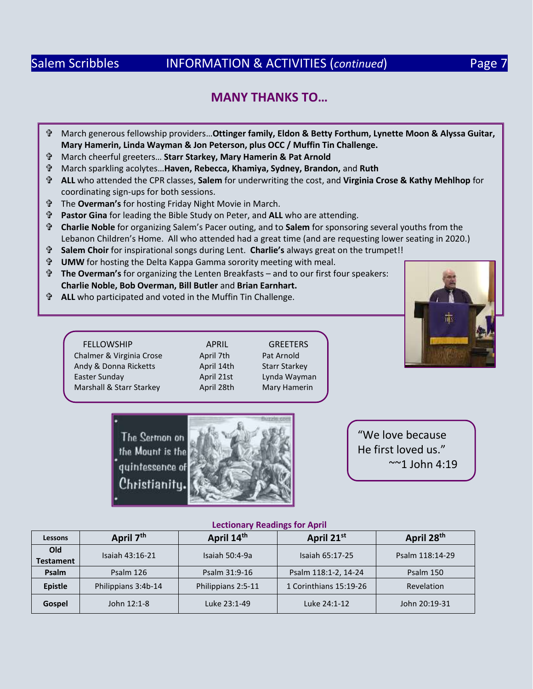### Salem Scribbles **INFORMATION & ACTIVITIES (continued)** Page 7

### **MANY THANKS TO…**

- March generous fellowship providers…**Ottinger family, Eldon & Betty Forthum, Lynette Moon & Alyssa Guitar, Mary Hamerin, Linda Wayman & Jon Peterson, plus OCC / Muffin Tin Challenge.**
- March cheerful greeters… **Starr Starkey, Mary Hamerin & Pat Arnold**
- March sparkling acolytes…**Haven, Rebecca, Khamiya, Sydney, Brandon,** and **Ruth**
- **ALL** who attended the CPR classes, **Salem** for underwriting the cost, and **Virginia Crose & Kathy Mehlhop** for coordinating sign-ups for both sessions.
- The **Overman's** for hosting Friday Night Movie in March.
- **Pastor Gina** for leading the Bible Study on Peter, and **ALL** who are attending.
- **Charlie Noble** for organizing Salem's Pacer outing, and to **Salem** for sponsoring several youths from the Lebanon Children's Home. All who attended had a great time (and are requesting lower seating in 2020.)
- **Salem Choir** for inspirational songs during Lent. **Charlie's** always great on the trumpet!!
- **UMW** for hosting the Delta Kappa Gamma sorority meeting with meal.
- **The Overman's** for organizing the Lenten Breakfasts and to our first four speakers: **Charlie Noble, Bob Overman, Bill Butler** and **Brian Earnhart.**
- **ALL** who participated and voted in the Muffin Tin Challenge.

| <b>FELLOWSHIP</b>        | APRIL      | <b>GREETERS</b>      |
|--------------------------|------------|----------------------|
| Chalmer & Virginia Crose | April 7th  | Pat Arnold           |
| Andy & Donna Ricketts    | April 14th | <b>Starr Starkey</b> |
| <b>Easter Sunday</b>     | April 21st | Lynda Wayman         |
| Marshall & Starr Starkey | April 28th | Mary Hamerin         |

"We love because He first loved us."  $~\sim$ 1 John 4:19

# The Sermon on the Mount is the quintessence of Christianity

**Lectionary Readings for April**

| Lessons                 | April 7 <sup>th</sup> | April 14th         | April 21st             | April 28 <sup>th</sup> |
|-------------------------|-----------------------|--------------------|------------------------|------------------------|
| Old<br><b>Testament</b> | Isaiah 43:16-21       | Isaiah 50:4-9a     | Isaiah 65:17-25        | Psalm 118:14-29        |
| Psalm                   | Psalm 126             | Psalm 31:9-16      | Psalm 118:1-2, 14-24   | Psalm 150              |
| Epistle                 | Philippians 3:4b-14   | Philippians 2:5-11 | 1 Corinthians 15:19-26 | Revelation             |
| Gospel                  | John 12:1-8           | Luke 23:1-49       | Luke 24:1-12           | John 20:19-31          |